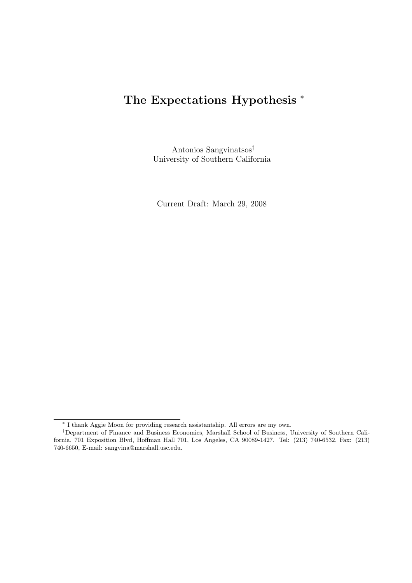# The Expectations Hypothesis  $*$

Antonios Sangvinatsos† University of Southern California

Current Draft: March 29, 2008

<sup>∗</sup> I thank Aggie Moon for providing research assistantship. All errors are my own.

<sup>†</sup>Department of Finance and Business Economics, Marshall School of Business, University of Southern California, 701 Exposition Blvd, Hoffman Hall 701, Los Angeles, CA 90089-1427. Tel: (213) 740-6532, Fax: (213) 740-6650, E-mail: sangvina@marshall.usc.edu.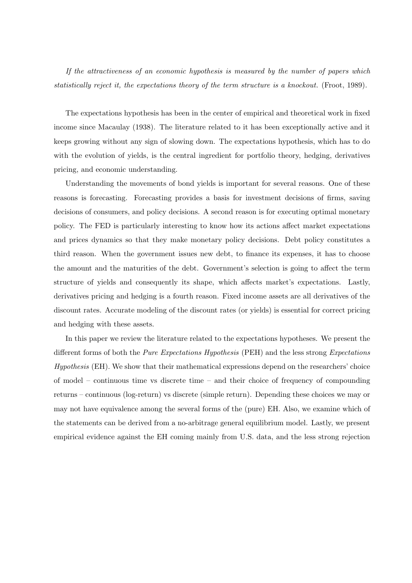If the attractiveness of an economic hypothesis is measured by the number of papers which statistically reject it, the expectations theory of the term structure is a knockout. (Froot, 1989).

The expectations hypothesis has been in the center of empirical and theoretical work in fixed income since Macaulay (1938). The literature related to it has been exceptionally active and it keeps growing without any sign of slowing down. The expectations hypothesis, which has to do with the evolution of yields, is the central ingredient for portfolio theory, hedging, derivatives pricing, and economic understanding.

Understanding the movements of bond yields is important for several reasons. One of these reasons is forecasting. Forecasting provides a basis for investment decisions of firms, saving decisions of consumers, and policy decisions. A second reason is for executing optimal monetary policy. The FED is particularly interesting to know how its actions affect market expectations and prices dynamics so that they make monetary policy decisions. Debt policy constitutes a third reason. When the government issues new debt, to finance its expenses, it has to choose the amount and the maturities of the debt. Government's selection is going to affect the term structure of yields and consequently its shape, which affects market's expectations. Lastly, derivatives pricing and hedging is a fourth reason. Fixed income assets are all derivatives of the discount rates. Accurate modeling of the discount rates (or yields) is essential for correct pricing and hedging with these assets.

In this paper we review the literature related to the expectations hypotheses. We present the different forms of both the *Pure Expectations Hypothesis* (PEH) and the less strong *Expectations* Hypothesis (EH). We show that their mathematical expressions depend on the researchers' choice of model – continuous time vs discrete time – and their choice of frequency of compounding returns – continuous (log-return) vs discrete (simple return). Depending these choices we may or may not have equivalence among the several forms of the (pure) EH. Also, we examine which of the statements can be derived from a no-arbitrage general equilibrium model. Lastly, we present empirical evidence against the EH coming mainly from U.S. data, and the less strong rejection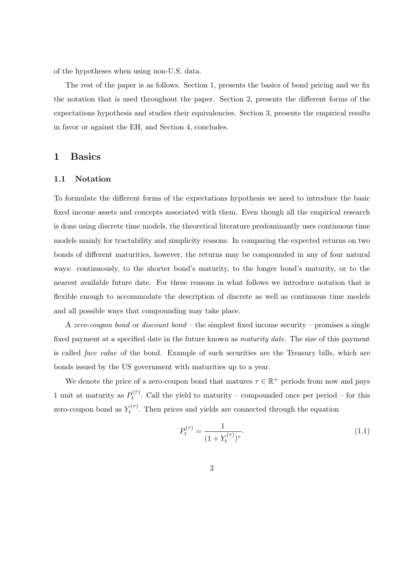of the hypotheses when using non-U.S. data.

The rest of the paper is as follows. Section 1, presents the basics of bond pricing and we fix the notation that is used throughout the paper. Section 2, presents the different forms of the expectations hypothesis and studies their equivalencies. Section 3, presents the empirical results in favor or against the EH, and Section 4, concludes.

# 1 Basics

#### 1.1 Notation

To formulate the different forms of the expectations hypothesis we need to introduce the basic fixed income assets and concepts associated with them. Even though all the empirical research is done using discrete time models, the theoretical literature predominantly uses continuous time models mainly for tractability and simplicity reasons. In comparing the expected returns on two bonds of different maturities, however, the returns may be compounded in any of four natural ways: continuously, to the shorter bond's maturity, to the longer bond's maturity, or to the nearest available future date. For these reasons in what follows we introduce notation that is flexible enough to accommodate the description of discrete as well as continuous time models and all possible ways that compounding may take place.

A zero-coupon bond or discount bond  $-$  the simplest fixed income security – promises a single fixed payment at a specified date in the future known as *maturity date*. The size of this payment is called face value of the bond. Example of such securities are the Treasury bills, which are bonds issued by the US government with maturities up to a year.

We denote the price of a zero-coupon bond that matures  $\tau \in \mathbb{R}^+$  periods from now and pays 1 unit at maturity as  $P_t^{(\tau)}$  $t^{(T)}$ . Call the yield to maturity – compounded once per period – for this zero-coupon bond as  $Y_t^{(\tau)}$  $t^{(\tau)}$ . Then prices and yields are connected through the equation

$$
P_t^{(\tau)} = \frac{1}{(1 + Y_t^{(\tau)})^{\tau}}.\tag{1.1}
$$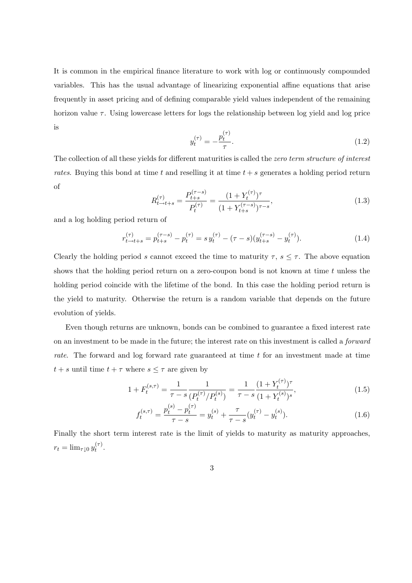It is common in the empirical finance literature to work with log or continuously compounded variables. This has the usual advantage of linearizing exponential affine equations that arise frequently in asset pricing and of defining comparable yield values independent of the remaining horizon value  $\tau$ . Using lowercase letters for logs the relationship between log yield and log price is

$$
y_t^{(\tau)} = -\frac{p_t^{(\tau)}}{\tau}.
$$
 (1.2)

The collection of all these yields for different maturities is called the *zero term structure of interest* rates. Buying this bond at time t and reselling it at time  $t + s$  generates a holding period return of

$$
R_{t \to t+s}^{(\tau)} = \frac{P_{t+s}^{(\tau-s)}}{P_t^{(\tau)}} = \frac{(1 + Y_t^{(\tau)})^{\tau}}{(1 + Y_{t+s}^{(\tau-s)})^{\tau-s}},\tag{1.3}
$$

and a log holding period return of

$$
r_{t \to t+s}^{(\tau)} = p_{t+s}^{(\tau-s)} - p_t^{(\tau)} = s y_t^{(\tau)} - (\tau - s) (y_{t+s}^{(\tau-s)} - y_t^{(\tau)}).
$$
 (1.4)

Clearly the holding period s cannot exceed the time to maturity  $\tau$ ,  $s \leq \tau$ . The above equation shows that the holding period return on a zero-coupon bond is not known at time  $t$  unless the holding period coincide with the lifetime of the bond. In this case the holding period return is the yield to maturity. Otherwise the return is a random variable that depends on the future evolution of yields.

Even though returns are unknown, bonds can be combined to guarantee a fixed interest rate on an investment to be made in the future; the interest rate on this investment is called a forward rate. The forward and log forward rate guaranteed at time t for an investment made at time  $t + s$  until time  $t + \tau$  where  $s \leq \tau$  are given by

$$
1 + F_t^{(s,\tau)} = \frac{1}{\tau - s} \frac{1}{\left(P_t^{(\tau)}/P_t^{(s)}\right)} = \frac{1}{\tau - s} \frac{(1 + Y_t^{(\tau)})^{\tau}}{(1 + Y_t^{(s)})^s},\tag{1.5}
$$

$$
f_t^{(s,\tau)} = \frac{p_t^{(s)} - p_t^{(\tau)}}{\tau - s} = y_t^{(s)} + \frac{\tau}{\tau - s} (y_t^{(\tau)} - y_t^{(s)}).
$$
 (1.6)

Finally the short term interest rate is the limit of yields to maturity as maturity approaches,  $r_t = \lim_{\tau \downarrow 0} y_t^{(\tau)}$  $\frac{(\tau)}{t}$ .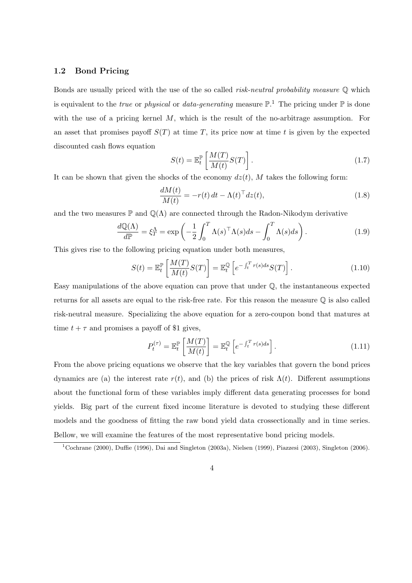#### 1.2 Bond Pricing

Bonds are usually priced with the use of the so called *risk-neutral probability measure*  $\mathbb Q$  which is equivalent to the *true* or *physical* or *data-generating* measure  $\mathbb{P}^{1}$ . The pricing under  $\mathbb{P}$  is done with the use of a pricing kernel  $M$ , which is the result of the no-arbitrage assumption. For an asset that promises payoff  $S(T)$  at time T, its price now at time t is given by the expected discounted cash flows equation ·  $\overline{a}$ 

$$
S(t) = \mathbb{E}_t^{\mathbb{P}} \left[ \frac{M(T)}{M(t)} S(T) \right]. \tag{1.7}
$$

It can be shown that given the shocks of the economy  $dz(t)$ , M takes the following form:

$$
\frac{dM(t)}{M(t)} = -r(t) dt - \Lambda(t)^\top dz(t),\tag{1.8}
$$

and the two measures  $\mathbb P$  and  $\mathbb Q(\Lambda)$  are connected through the Radon-Nikodym derivative

$$
\frac{d\mathbb{Q}(\Lambda)}{d\mathbb{P}} = \xi_T^{\Lambda} = \exp\left(-\frac{1}{2} \int_0^T \Lambda(s)^\top \Lambda(s) ds - \int_0^T \Lambda(s) ds\right).
$$
 (1.9)

This gives rise to the following pricing equation under both measures,

$$
S(t) = \mathbb{E}_t^{\mathbb{P}} \left[ \frac{M(T)}{M(t)} S(T) \right] = \mathbb{E}_t^{\mathbb{Q}} \left[ e^{-\int_t^T r(s)ds} S(T) \right]. \tag{1.10}
$$

Easy manipulations of the above equation can prove that under Q, the instantaneous expected returns for all assets are equal to the risk-free rate. For this reason the measure Q is also called risk-neutral measure. Specializing the above equation for a zero-coupon bond that matures at time  $t + \tau$  and promises a payoff of \$1 gives,

$$
P_t^{(\tau)} = \mathbb{E}_t^{\mathbb{P}} \left[ \frac{M(T)}{M(t)} \right] = \mathbb{E}_t^{\mathbb{Q}} \left[ e^{-\int_t^T r(s)ds} \right]. \tag{1.11}
$$

From the above pricing equations we observe that the key variables that govern the bond prices dynamics are (a) the interest rate  $r(t)$ , and (b) the prices of risk  $\Lambda(t)$ . Different assumptions about the functional form of these variables imply different data generating processes for bond yields. Big part of the current fixed income literature is devoted to studying these different models and the goodness of fitting the raw bond yield data crossectionally and in time series. Bellow, we will examine the features of the most representative bond pricing models.

<sup>1</sup>Cochrane (2000), Duffie (1996), Dai and Singleton (2003a), Nielsen (1999), Piazzesi (2003), Singleton (2006).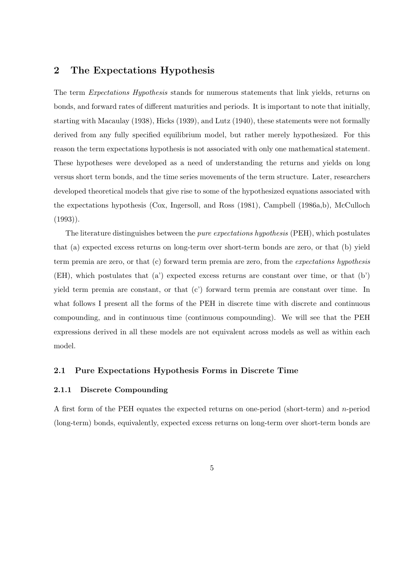# 2 The Expectations Hypothesis

The term *Expectations Hypothesis* stands for numerous statements that link yields, returns on bonds, and forward rates of different maturities and periods. It is important to note that initially, starting with Macaulay (1938), Hicks (1939), and Lutz (1940), these statements were not formally derived from any fully specified equilibrium model, but rather merely hypothesized. For this reason the term expectations hypothesis is not associated with only one mathematical statement. These hypotheses were developed as a need of understanding the returns and yields on long versus short term bonds, and the time series movements of the term structure. Later, researchers developed theoretical models that give rise to some of the hypothesized equations associated with the expectations hypothesis (Cox, Ingersoll, and Ross (1981), Campbell (1986a,b), McCulloch  $(1993)$ .

The literature distinguishes between the *pure expectations hypothesis* (PEH), which postulates that (a) expected excess returns on long-term over short-term bonds are zero, or that (b) yield term premia are zero, or that (c) forward term premia are zero, from the expectations hypothesis (EH), which postulates that (a') expected excess returns are constant over time, or that (b') yield term premia are constant, or that (c') forward term premia are constant over time. In what follows I present all the forms of the PEH in discrete time with discrete and continuous compounding, and in continuous time (continuous compounding). We will see that the PEH expressions derived in all these models are not equivalent across models as well as within each model.

#### 2.1 Pure Expectations Hypothesis Forms in Discrete Time

#### 2.1.1 Discrete Compounding

A first form of the PEH equates the expected returns on one-period (short-term) and n-period (long-term) bonds, equivalently, expected excess returns on long-term over short-term bonds are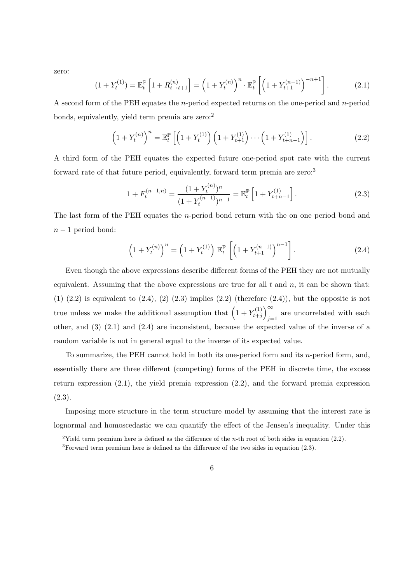zero:

$$
(1 + Y_t^{(1)}) = \mathbb{E}_t^{\mathbb{P}} \left[ 1 + R_{t \to t+1}^{(n)} \right] = \left( 1 + Y_t^{(n)} \right)^n \cdot \mathbb{E}_t^{\mathbb{P}} \left[ \left( 1 + Y_{t+1}^{(n-1)} \right)^{-n+1} \right]. \tag{2.1}
$$

A second form of the PEH equates the *n*-period expected returns on the one-period and *n*-period bonds, equivalently, yield term premia are zero:<sup>2</sup>

$$
\left(1 + Y_t^{(n)}\right)^n = \mathbb{E}_t^{\mathbb{P}}\left[\left(1 + Y_t^{(1)}\right)\left(1 + Y_{t+1}^{(1)}\right) \cdots \left(1 + Y_{t+n-1}^{(1)}\right)\right].\tag{2.2}
$$

A third form of the PEH equates the expected future one-period spot rate with the current forward rate of that future period, equivalently, forward term premia are zero:<sup>3</sup>

$$
1 + F_t^{(n-1,n)} = \frac{(1 + Y_t^{(n)})^n}{(1 + Y_t^{(n-1)})^{n-1}} = \mathbb{E}_t^{\mathbb{P}} \left[ 1 + Y_{t+n-1}^{(1)} \right]. \tag{2.3}
$$

The last form of the PEH equates the  $n$ -period bond return with the on one period bond and  $n-1$  period bond:

$$
\left(1 + Y_t^{(n)}\right)^n = \left(1 + Y_t^{(1)}\right) \mathbb{E}_t^{\mathbb{P}} \left[ \left(1 + Y_{t+1}^{(n-1)}\right)^{n-1} \right]. \tag{2.4}
$$

Even though the above expressions describe different forms of the PEH they are not mutually equivalent. Assuming that the above expressions are true for all  $t$  and  $n$ , it can be shown that:  $(1)$   $(2.2)$  is equivalent to  $(2.4)$ ,  $(2)$   $(2.3)$  implies  $(2.2)$  (therefore  $(2.4)$ ), but the opposite is not true unless we make the additional assumption that  $(1 + Y_{t+1}^{(1)})$  $t+j$ ´<sup>∞</sup> are uncorrelated with each  $j=1$ other, and (3) (2.1) and (2.4) are inconsistent, because the expected value of the inverse of a random variable is not in general equal to the inverse of its expected value.

To summarize, the PEH cannot hold in both its one-period form and its  $n$ -period form, and, essentially there are three different (competing) forms of the PEH in discrete time, the excess return expression (2.1), the yield premia expression (2.2), and the forward premia expression (2.3).

Imposing more structure in the term structure model by assuming that the interest rate is lognormal and homoscedastic we can quantify the effect of the Jensen's inequality. Under this

<sup>&</sup>lt;sup>2</sup>Yield term premium here is defined as the difference of the *n*-th root of both sides in equation (2.2).

<sup>3</sup>Forward term premium here is defined as the difference of the two sides in equation (2.3).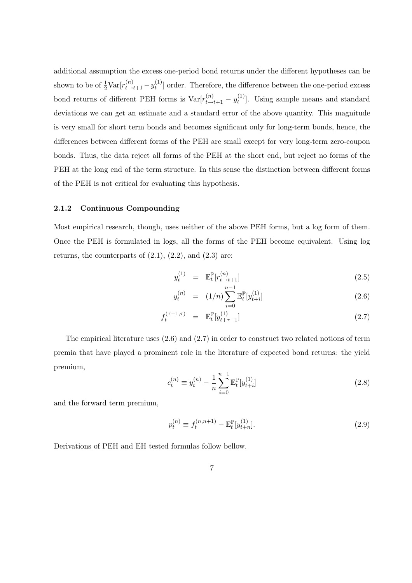additional assumption the excess one-period bond returns under the different hypotheses can be shown to be of  $\frac{1}{2} \text{Var}[r_{t \to t+1}^{(n)} - y_t^{(1)}]$  $\binom{1}{t}$  order. Therefore, the difference between the one-period excess bond returns of different PEH forms is  $\text{Var}[r_{t \to t+1}^{(n)} - y_t^{(1)}]$  $\binom{1}{t}$ . Using sample means and standard deviations we can get an estimate and a standard error of the above quantity. This magnitude is very small for short term bonds and becomes significant only for long-term bonds, hence, the differences between different forms of the PEH are small except for very long-term zero-coupon bonds. Thus, the data reject all forms of the PEH at the short end, but reject no forms of the PEH at the long end of the term structure. In this sense the distinction between different forms of the PEH is not critical for evaluating this hypothesis.

#### 2.1.2 Continuous Compounding

Most empirical research, though, uses neither of the above PEH forms, but a log form of them. Once the PEH is formulated in logs, all the forms of the PEH become equivalent. Using log returns, the counterparts of  $(2.1)$ ,  $(2.2)$ , and  $(2.3)$  are:

$$
y_t^{(1)} = \mathbb{E}_t^{\mathbb{P}}[r_{t \to t+1}^{(n)}]
$$
 (2.5)

$$
y_t^{(n)} = (1/n) \sum_{i=0}^{n-1} \mathbb{E}_t^{\mathbb{P}}[y_{t+i}^{(1)}]
$$
 (2.6)

$$
f_t^{(\tau - 1, \tau)} = \mathbb{E}_t^{\mathbb{P}}[y_{t + \tau - 1}^{(1)}]
$$
\n(2.7)

The empirical literature uses  $(2.6)$  and  $(2.7)$  in order to construct two related notions of term premia that have played a prominent role in the literature of expected bond returns: the yield premium,

$$
c_t^{(n)} \equiv y_t^{(n)} - \frac{1}{n} \sum_{i=0}^{n-1} \mathbb{E}_t^{\mathbb{P}}[y_{t+i}^{(1)}]
$$
\n(2.8)

and the forward term premium,

$$
p_t^{(n)} \equiv f_t^{(n,n+1)} - \mathbb{E}_t^{\mathbb{P}}[y_{t+n}^{(1)}].
$$
\n(2.9)

Derivations of PEH and EH tested formulas follow bellow.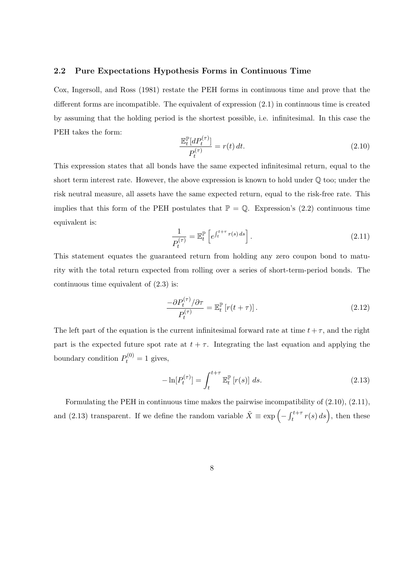#### 2.2 Pure Expectations Hypothesis Forms in Continuous Time

Cox, Ingersoll, and Ross (1981) restate the PEH forms in continuous time and prove that the different forms are incompatible. The equivalent of expression (2.1) in continuous time is created by assuming that the holding period is the shortest possible, i.e. infinitesimal. In this case the PEH takes the form:

$$
\frac{\mathbb{E}_t^{\mathbb{P}}[dP_t^{(\tau)}]}{P_t^{(\tau)}} = r(t) dt.
$$
\n(2.10)

This expression states that all bonds have the same expected infinitesimal return, equal to the short term interest rate. However, the above expression is known to hold under  $\mathbb Q$  too; under the risk neutral measure, all assets have the same expected return, equal to the risk-free rate. This implies that this form of the PEH postulates that  $\mathbb{P} = \mathbb{Q}$ . Expression's (2.2) continuous time equivalent is:

$$
\frac{1}{P_t^{(\tau)}} = \mathbb{E}_t^{\mathbb{P}} \left[ e^{\int_t^{t+\tau} r(s) \, ds} \right]. \tag{2.11}
$$

This statement equates the guaranteed return from holding any zero coupon bond to maturity with the total return expected from rolling over a series of short-term-period bonds. The continuous time equivalent of (2.3) is:

$$
\frac{-\partial P_t^{(\tau)} / \partial \tau}{P_t^{(\tau)}} = \mathbb{E}_t^{\mathbb{P}} \left[ r(t+\tau) \right]. \tag{2.12}
$$

The left part of the equation is the current infinitesimal forward rate at time  $t + \tau$ , and the right part is the expected future spot rate at  $t + \tau$ . Integrating the last equation and applying the boundary condition  $P_t^{(0)} = 1$  gives,

$$
-\ln[P_t^{(\tau)}] = \int_t^{t+\tau} \mathbb{E}_t^{\mathbb{P}} \left[ r(s) \right] ds.
$$
\n(2.13)

Formulating the PEH in continuous time makes the pairwise incompatibility of (2.10), (2.11), and (2.13) transparent. If we define the random variable  $\tilde{X} \equiv \exp \left(-\int_{t}^{t+\tau}$  $\int_t^{t+\tau} r(s) ds$ , then these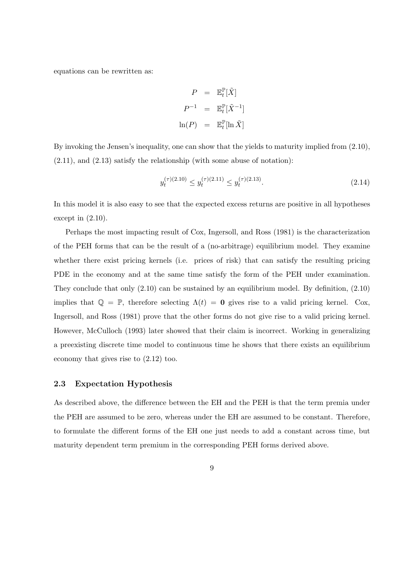equations can be rewritten as:

$$
P = \mathbb{E}_t^{\mathbb{P}}[\tilde{X}]
$$
  
\n
$$
P^{-1} = \mathbb{E}_t^{\mathbb{P}}[\tilde{X}^{-1}]
$$
  
\n
$$
\ln(P) = \mathbb{E}_t^{\mathbb{P}}[\ln \tilde{X}]
$$

By invoking the Jensen's inequality, one can show that the yields to maturity implied from (2.10),  $(2.11)$ , and  $(2.13)$  satisfy the relationship (with some abuse of notation):

$$
y_t^{(\tau)(2.10)} \le y_t^{(\tau)(2.11)} \le y_t^{(\tau)(2.13)}.\tag{2.14}
$$

In this model it is also easy to see that the expected excess returns are positive in all hypotheses except in  $(2.10)$ .

Perhaps the most impacting result of Cox, Ingersoll, and Ross (1981) is the characterization of the PEH forms that can be the result of a (no-arbitrage) equilibrium model. They examine whether there exist pricing kernels (i.e. prices of risk) that can satisfy the resulting pricing PDE in the economy and at the same time satisfy the form of the PEH under examination. They conclude that only  $(2.10)$  can be sustained by an equilibrium model. By definition,  $(2.10)$ implies that  $\mathbb{Q} = \mathbb{P}$ , therefore selecting  $\Lambda(t) = \mathbf{0}$  gives rise to a valid pricing kernel. Cox, Ingersoll, and Ross (1981) prove that the other forms do not give rise to a valid pricing kernel. However, McCulloch (1993) later showed that their claim is incorrect. Working in generalizing a preexisting discrete time model to continuous time he shows that there exists an equilibrium economy that gives rise to (2.12) too.

#### 2.3 Expectation Hypothesis

As described above, the difference between the EH and the PEH is that the term premia under the PEH are assumed to be zero, whereas under the EH are assumed to be constant. Therefore, to formulate the different forms of the EH one just needs to add a constant across time, but maturity dependent term premium in the corresponding PEH forms derived above.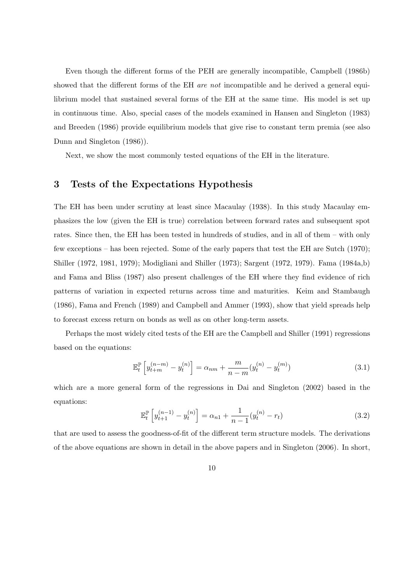Even though the different forms of the PEH are generally incompatible, Campbell (1986b) showed that the different forms of the EH are not incompatible and he derived a general equilibrium model that sustained several forms of the EH at the same time. His model is set up in continuous time. Also, special cases of the models examined in Hansen and Singleton (1983) and Breeden (1986) provide equilibrium models that give rise to constant term premia (see also Dunn and Singleton (1986)).

Next, we show the most commonly tested equations of the EH in the literature.

# 3 Tests of the Expectations Hypothesis

The EH has been under scrutiny at least since Macaulay (1938). In this study Macaulay emphasizes the low (given the EH is true) correlation between forward rates and subsequent spot rates. Since then, the EH has been tested in hundreds of studies, and in all of them – with only few exceptions – has been rejected. Some of the early papers that test the EH are Sutch (1970); Shiller (1972, 1981, 1979); Modigliani and Shiller (1973); Sargent (1972, 1979). Fama (1984a,b) and Fama and Bliss (1987) also present challenges of the EH where they find evidence of rich patterns of variation in expected returns across time and maturities. Keim and Stambaugh (1986), Fama and French (1989) and Campbell and Ammer (1993), show that yield spreads help to forecast excess return on bonds as well as on other long-term assets.

Perhaps the most widely cited tests of the EH are the Campbell and Shiller (1991) regressions based on the equations:

$$
\mathbb{E}_{t}^{\mathbb{P}}\left[y_{t+m}^{(n-m)} - y_{t}^{(n)}\right] = \alpha_{nm} + \frac{m}{n-m}(y_{t}^{(n)} - y_{t}^{(m)})
$$
\n(3.1)

which are a more general form of the regressions in Dai and Singleton (2002) based in the equations:

$$
\mathbb{E}_{t}^{\mathbb{P}}\left[y_{t+1}^{(n-1)} - y_{t}^{(n)}\right] = \alpha_{n1} + \frac{1}{n-1}(y_{t}^{(n)} - r_{t})
$$
\n(3.2)

that are used to assess the goodness-of-fit of the different term structure models. The derivations of the above equations are shown in detail in the above papers and in Singleton (2006). In short,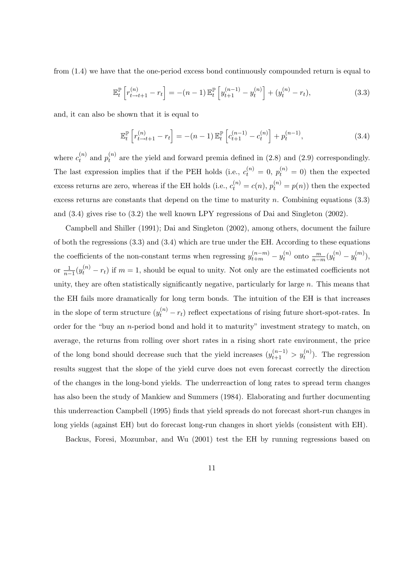from (1.4) we have that the one-period excess bond continuously compounded return is equal to

$$
\mathbb{E}_{t}^{\mathbb{P}}\left[r_{t\to t+1}^{(n)}-r_{t}\right] = -(n-1)\mathbb{E}_{t}^{\mathbb{P}}\left[y_{t+1}^{(n-1)}-y_{t}^{(n)}\right] + (y_{t}^{(n)}-r_{t}),
$$
\n(3.3)

and, it can also be shown that it is equal to

$$
\mathbb{E}_{t}^{\mathbb{P}}\left[r_{t\to t+1}^{(n)}-r_{t}\right] = -(n-1)\,\mathbb{E}_{t}^{\mathbb{P}}\left[c_{t+1}^{(n-1)}-c_{t}^{(n)}\right] + p_{t}^{(n-1)},\tag{3.4}
$$

where  $c_t^{(n)}$  $t_t^{(n)}$  and  $p_t^{(n)}$  $t_t^{(n)}$  are the yield and forward premia defined in (2.8) and (2.9) correspondingly. The last expression implies that if the PEH holds (i.e.,  $c_t^{(n)} = 0$ ,  $p_t^{(n)} = 0$ ) then the expected excess returns are zero, whereas if the EH holds (i.e.,  $c_t^{(n)} = c(n)$ ,  $p_t^{(n)} = p(n)$ ) then the expected excess returns are constants that depend on the time to maturity n. Combining equations  $(3.3)$ and (3.4) gives rise to (3.2) the well known LPY regressions of Dai and Singleton (2002).

Campbell and Shiller (1991); Dai and Singleton (2002), among others, document the failure of both the regressions (3.3) and (3.4) which are true under the EH. According to these equations the coefficients of the non-constant terms when regressing  $y_{t+m}^{(n-m)} - y_t^{(n)}$  $y_t^{(n)}$  onto  $\frac{m}{n-m}(y_t^{(n)}-y_t^{(m)})$  $\binom{m}{t},$ or  $\frac{1}{n-1}(y_t^{(n)} - r_t)$  if  $m = 1$ , should be equal to unity. Not only are the estimated coefficients not unity, they are often statistically significantly negative, particularly for large  $n$ . This means that the EH fails more dramatically for long term bonds. The intuition of the EH is that increases in the slope of term structure  $(y_t^{(n)} - r_t)$  reflect expectations of rising future short-spot-rates. In order for the "buy an n-period bond and hold it to maturity" investment strategy to match, on average, the returns from rolling over short rates in a rising short rate environment, the price of the long bond should decrease such that the yield increases  $(y_{t+1}^{(n-1)} > y_t^{(n)})$ . The regression results suggest that the slope of the yield curve does not even forecast correctly the direction of the changes in the long-bond yields. The underreaction of long rates to spread term changes has also been the study of Mankiew and Summers (1984). Elaborating and further documenting this underreaction Campbell (1995) finds that yield spreads do not forecast short-run changes in long yields (against EH) but do forecast long-run changes in short yields (consistent with EH).

Backus, Foresi, Mozumbar, and Wu (2001) test the EH by running regressions based on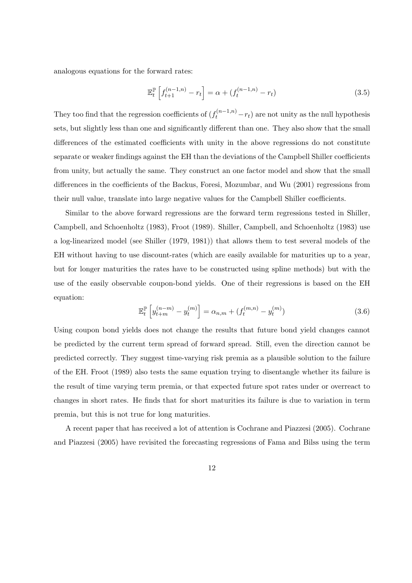analogous equations for the forward rates:

$$
\mathbb{E}_{t}^{\mathbb{P}}\left[f_{t+1}^{(n-1,n)}-r_{t}\right]=\alpha+(f_{t}^{(n-1,n)}-r_{t})
$$
\n(3.5)

They too find that the regression coefficients of  $(f_t^{(n-1,n)} - r_t)$  are not unity as the null hypothesis sets, but slightly less than one and significantly different than one. They also show that the small differences of the estimated coefficients with unity in the above regressions do not constitute separate or weaker findings against the EH than the deviations of the Campbell Shiller coefficients from unity, but actually the same. They construct an one factor model and show that the small differences in the coefficients of the Backus, Foresi, Mozumbar, and Wu (2001) regressions from their null value, translate into large negative values for the Campbell Shiller coefficients.

Similar to the above forward regressions are the forward term regressions tested in Shiller, Campbell, and Schoenholtz (1983), Froot (1989). Shiller, Campbell, and Schoenholtz (1983) use a log-linearized model (see Shiller (1979, 1981)) that allows them to test several models of the EH without having to use discount-rates (which are easily available for maturities up to a year, but for longer maturities the rates have to be constructed using spline methods) but with the use of the easily observable coupon-bond yields. One of their regressions is based on the EH equation:

$$
\mathbb{E}_{t}^{\mathbb{P}}\left[y_{t+m}^{(n-m)} - y_{t}^{(m)}\right] = \alpha_{n,m} + (f_{t}^{(m,n)} - y_{t}^{(m)})
$$
\n(3.6)

Using coupon bond yields does not change the results that future bond yield changes cannot be predicted by the current term spread of forward spread. Still, even the direction cannot be predicted correctly. They suggest time-varying risk premia as a plausible solution to the failure of the EH. Froot (1989) also tests the same equation trying to disentangle whether its failure is the result of time varying term premia, or that expected future spot rates under or overreact to changes in short rates. He finds that for short maturities its failure is due to variation in term premia, but this is not true for long maturities.

A recent paper that has received a lot of attention is Cochrane and Piazzesi (2005). Cochrane and Piazzesi (2005) have revisited the forecasting regressions of Fama and Bilss using the term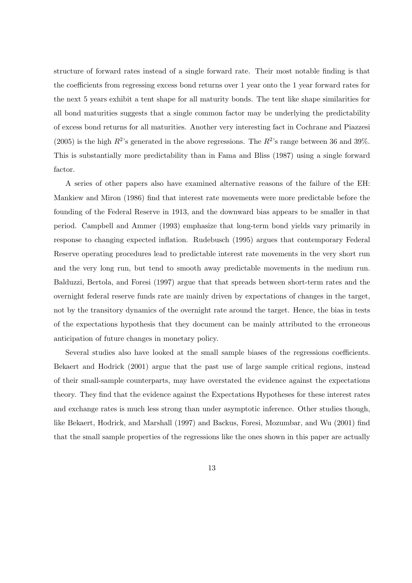structure of forward rates instead of a single forward rate. Their most notable finding is that the coefficients from regressing excess bond returns over 1 year onto the 1 year forward rates for the next 5 years exhibit a tent shape for all maturity bonds. The tent like shape similarities for all bond maturities suggests that a single common factor may be underlying the predictability of excess bond returns for all maturities. Another very interesting fact in Cochrane and Piazzesi (2005) is the high  $R^2$ 's generated in the above regressions. The  $R^2$ 's range between 36 and 39%. This is substantially more predictability than in Fama and Bliss (1987) using a single forward factor.

A series of other papers also have examined alternative reasons of the failure of the EH: Mankiew and Miron (1986) find that interest rate movements were more predictable before the founding of the Federal Reserve in 1913, and the downward bias appears to be smaller in that period. Campbell and Ammer (1993) emphasize that long-term bond yields vary primarily in response to changing expected inflation. Rudebusch (1995) argues that contemporary Federal Reserve operating procedures lead to predictable interest rate movements in the very short run and the very long run, but tend to smooth away predictable movements in the medium run. Balduzzi, Bertola, and Foresi (1997) argue that that spreads between short-term rates and the overnight federal reserve funds rate are mainly driven by expectations of changes in the target, not by the transitory dynamics of the overnight rate around the target. Hence, the bias in tests of the expectations hypothesis that they document can be mainly attributed to the erroneous anticipation of future changes in monetary policy.

Several studies also have looked at the small sample biases of the regressions coefficients. Bekaert and Hodrick (2001) argue that the past use of large sample critical regions, instead of their small-sample counterparts, may have overstated the evidence against the expectations theory. They find that the evidence against the Expectations Hypotheses for these interest rates and exchange rates is much less strong than under asymptotic inference. Other studies though, like Bekaert, Hodrick, and Marshall (1997) and Backus, Foresi, Mozumbar, and Wu (2001) find that the small sample properties of the regressions like the ones shown in this paper are actually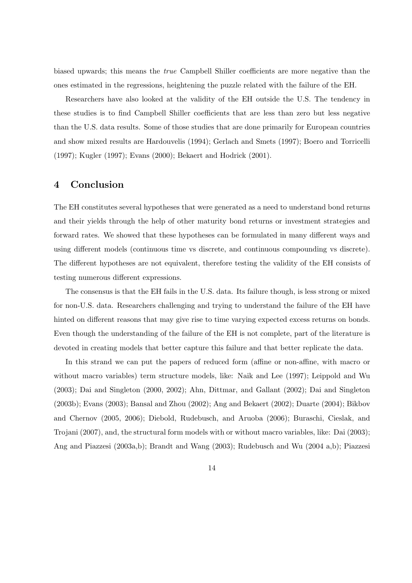biased upwards; this means the true Campbell Shiller coefficients are more negative than the ones estimated in the regressions, heightening the puzzle related with the failure of the EH.

Researchers have also looked at the validity of the EH outside the U.S. The tendency in these studies is to find Campbell Shiller coefficients that are less than zero but less negative than the U.S. data results. Some of those studies that are done primarily for European countries and show mixed results are Hardouvelis (1994); Gerlach and Smets (1997); Boero and Torricelli (1997); Kugler (1997); Evans (2000); Bekaert and Hodrick (2001).

### 4 Conclusion

The EH constitutes several hypotheses that were generated as a need to understand bond returns and their yields through the help of other maturity bond returns or investment strategies and forward rates. We showed that these hypotheses can be formulated in many different ways and using different models (continuous time vs discrete, and continuous compounding vs discrete). The different hypotheses are not equivalent, therefore testing the validity of the EH consists of testing numerous different expressions.

The consensus is that the EH fails in the U.S. data. Its failure though, is less strong or mixed for non-U.S. data. Researchers challenging and trying to understand the failure of the EH have hinted on different reasons that may give rise to time varying expected excess returns on bonds. Even though the understanding of the failure of the EH is not complete, part of the literature is devoted in creating models that better capture this failure and that better replicate the data.

In this strand we can put the papers of reduced form (affine or non-affine, with macro or without macro variables) term structure models, like: Naik and Lee (1997); Leippold and Wu (2003); Dai and Singleton (2000, 2002); Ahn, Dittmar, and Gallant (2002); Dai and Singleton (2003b); Evans (2003); Bansal and Zhou (2002); Ang and Bekaert (2002); Duarte (2004); Bikbov and Chernov (2005, 2006); Diebold, Rudebusch, and Aruoba (2006); Buraschi, Cieslak, and Trojani (2007), and, the structural form models with or without macro variables, like: Dai (2003); Ang and Piazzesi (2003a,b); Brandt and Wang (2003); Rudebusch and Wu (2004 a,b); Piazzesi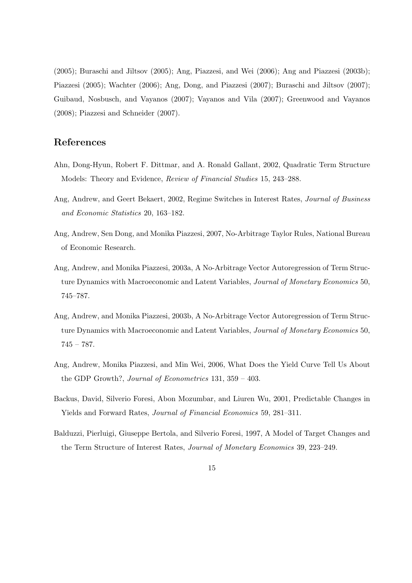(2005); Buraschi and Jiltsov (2005); Ang, Piazzesi, and Wei (2006); Ang and Piazzesi (2003b); Piazzesi (2005); Wachter (2006); Ang, Dong, and Piazzesi (2007); Buraschi and Jiltsov (2007); Guibaud, Nosbusch, and Vayanos (2007); Vayanos and Vila (2007); Greenwood and Vayanos (2008); Piazzesi and Schneider (2007).

# References

- Ahn, Dong-Hyun, Robert F. Dittmar, and A. Ronald Gallant, 2002, Quadratic Term Structure Models: Theory and Evidence, Review of Financial Studies 15, 243–288.
- Ang, Andrew, and Geert Bekaert, 2002, Regime Switches in Interest Rates, Journal of Business and Economic Statistics 20, 163–182.
- Ang, Andrew, Sen Dong, and Monika Piazzesi, 2007, No-Arbitrage Taylor Rules, National Bureau of Economic Research.
- Ang, Andrew, and Monika Piazzesi, 2003a, A No-Arbitrage Vector Autoregression of Term Structure Dynamics with Macroeconomic and Latent Variables, *Journal of Monetary Economics* 50, 745–787.
- Ang, Andrew, and Monika Piazzesi, 2003b, A No-Arbitrage Vector Autoregression of Term Structure Dynamics with Macroeconomic and Latent Variables, *Journal of Monetary Economics* 50, 745 – 787.
- Ang, Andrew, Monika Piazzesi, and Min Wei, 2006, What Does the Yield Curve Tell Us About the GDP Growth?, Journal of Econometrics 131, 359 – 403.
- Backus, David, Silverio Foresi, Abon Mozumbar, and Liuren Wu, 2001, Predictable Changes in Yields and Forward Rates, Journal of Financial Economics 59, 281–311.
- Balduzzi, Pierluigi, Giuseppe Bertola, and Silverio Foresi, 1997, A Model of Target Changes and the Term Structure of Interest Rates, Journal of Monetary Economics 39, 223–249.
	- 15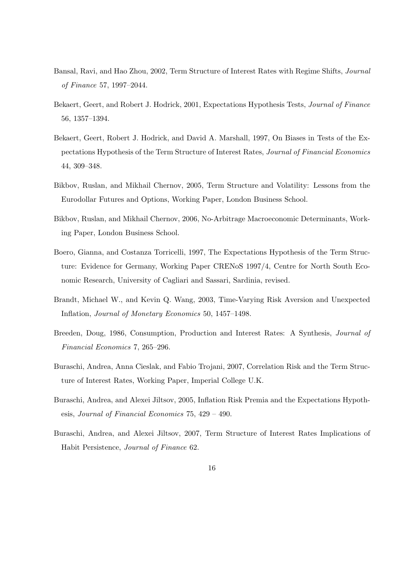- Bansal, Ravi, and Hao Zhou, 2002, Term Structure of Interest Rates with Regime Shifts, Journal of Finance 57, 1997–2044.
- Bekaert, Geert, and Robert J. Hodrick, 2001, Expectations Hypothesis Tests, Journal of Finance 56, 1357–1394.
- Bekaert, Geert, Robert J. Hodrick, and David A. Marshall, 1997, On Biases in Tests of the Expectations Hypothesis of the Term Structure of Interest Rates, Journal of Financial Economics 44, 309–348.
- Bikbov, Ruslan, and Mikhail Chernov, 2005, Term Structure and Volatility: Lessons from the Eurodollar Futures and Options, Working Paper, London Business School.
- Bikbov, Ruslan, and Mikhail Chernov, 2006, No-Arbitrage Macroeconomic Determinants, Working Paper, London Business School.
- Boero, Gianna, and Costanza Torricelli, 1997, The Expectations Hypothesis of the Term Structure: Evidence for Germany, Working Paper CRENoS 1997/4, Centre for North South Economic Research, University of Cagliari and Sassari, Sardinia, revised.
- Brandt, Michael W., and Kevin Q. Wang, 2003, Time-Varying Risk Aversion and Unexpected Inflation, Journal of Monetary Economics 50, 1457–1498.
- Breeden, Doug, 1986, Consumption, Production and Interest Rates: A Synthesis, Journal of Financial Economics 7, 265–296.
- Buraschi, Andrea, Anna Cieslak, and Fabio Trojani, 2007, Correlation Risk and the Term Structure of Interest Rates, Working Paper, Imperial College U.K.
- Buraschi, Andrea, and Alexei Jiltsov, 2005, Inflation Risk Premia and the Expectations Hypothesis, Journal of Financial Economics 75, 429 – 490.
- Buraschi, Andrea, and Alexei Jiltsov, 2007, Term Structure of Interest Rates Implications of Habit Persistence, Journal of Finance 62.
	- 16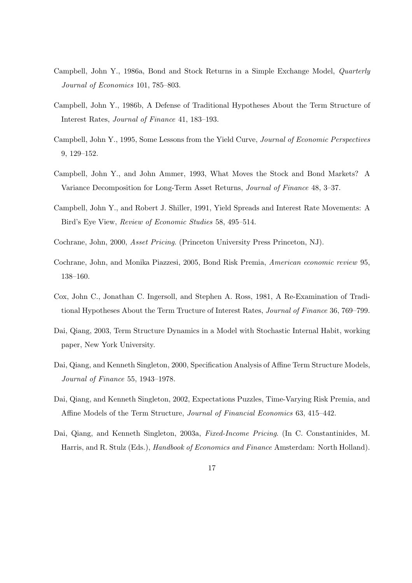- Campbell, John Y., 1986a, Bond and Stock Returns in a Simple Exchange Model, Quarterly Journal of Economics 101, 785–803.
- Campbell, John Y., 1986b, A Defense of Traditional Hypotheses About the Term Structure of Interest Rates, Journal of Finance 41, 183–193.
- Campbell, John Y., 1995, Some Lessons from the Yield Curve, Journal of Economic Perspectives 9, 129–152.
- Campbell, John Y., and John Ammer, 1993, What Moves the Stock and Bond Markets? A Variance Decomposition for Long-Term Asset Returns, Journal of Finance 48, 3–37.
- Campbell, John Y., and Robert J. Shiller, 1991, Yield Spreads and Interest Rate Movements: A Bird's Eye View, Review of Economic Studies 58, 495–514.
- Cochrane, John, 2000, Asset Pricing. (Princeton University Press Princeton, NJ).
- Cochrane, John, and Monika Piazzesi, 2005, Bond Risk Premia, American economic review 95, 138–160.
- Cox, John C., Jonathan C. Ingersoll, and Stephen A. Ross, 1981, A Re-Examination of Traditional Hypotheses About the Term Tructure of Interest Rates, Journal of Finance 36, 769–799.
- Dai, Qiang, 2003, Term Structure Dynamics in a Model with Stochastic Internal Habit, working paper, New York University.
- Dai, Qiang, and Kenneth Singleton, 2000, Specification Analysis of Affine Term Structure Models, Journal of Finance 55, 1943–1978.
- Dai, Qiang, and Kenneth Singleton, 2002, Expectations Puzzles, Time-Varying Risk Premia, and Affine Models of the Term Structure, Journal of Financial Economics 63, 415–442.
- Dai, Qiang, and Kenneth Singleton, 2003a, Fixed-Income Pricing. (In C. Constantinides, M. Harris, and R. Stulz (Eds.), Handbook of Economics and Finance Amsterdam: North Holland).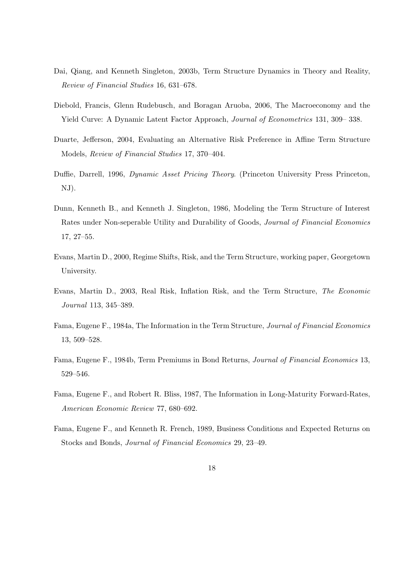- Dai, Qiang, and Kenneth Singleton, 2003b, Term Structure Dynamics in Theory and Reality, Review of Financial Studies 16, 631–678.
- Diebold, Francis, Glenn Rudebusch, and Boragan Aruoba, 2006, The Macroeconomy and the Yield Curve: A Dynamic Latent Factor Approach, Journal of Econometrics 131, 309– 338.
- Duarte, Jefferson, 2004, Evaluating an Alternative Risk Preference in Affine Term Structure Models, Review of Financial Studies 17, 370–404.
- Duffie, Darrell, 1996, Dynamic Asset Pricing Theory. (Princeton University Press Princeton, NJ).
- Dunn, Kenneth B., and Kenneth J. Singleton, 1986, Modeling the Term Structure of Interest Rates under Non-seperable Utility and Durability of Goods, Journal of Financial Economics 17, 27–55.
- Evans, Martin D., 2000, Regime Shifts, Risk, and the Term Structure, working paper, Georgetown University.
- Evans, Martin D., 2003, Real Risk, Inflation Risk, and the Term Structure, The Economic Journal 113, 345–389.
- Fama, Eugene F., 1984a, The Information in the Term Structure, Journal of Financial Economics 13, 509–528.
- Fama, Eugene F., 1984b, Term Premiums in Bond Returns, Journal of Financial Economics 13, 529–546.
- Fama, Eugene F., and Robert R. Bliss, 1987, The Information in Long-Maturity Forward-Rates, American Economic Review 77, 680–692.
- Fama, Eugene F., and Kenneth R. French, 1989, Business Conditions and Expected Returns on Stocks and Bonds, Journal of Financial Economics 29, 23–49.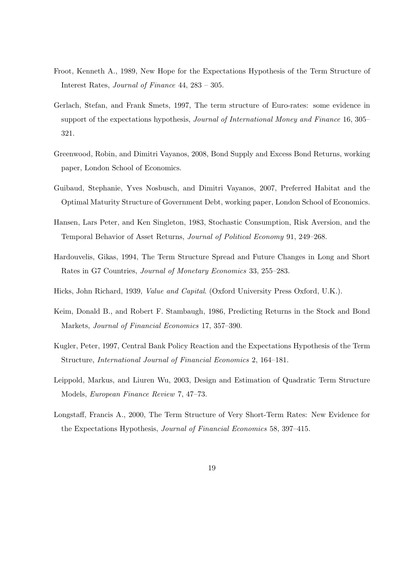- Froot, Kenneth A., 1989, New Hope for the Expectations Hypothesis of the Term Structure of Interest Rates, Journal of Finance 44, 283 – 305.
- Gerlach, Stefan, and Frank Smets, 1997, The term structure of Euro-rates: some evidence in support of the expectations hypothesis, *Journal of International Money and Finance* 16, 305– 321.
- Greenwood, Robin, and Dimitri Vayanos, 2008, Bond Supply and Excess Bond Returns, working paper, London School of Economics.
- Guibaud, Stephanie, Yves Nosbusch, and Dimitri Vayanos, 2007, Preferred Habitat and the Optimal Maturity Structure of Government Debt, working paper, London School of Economics.
- Hansen, Lars Peter, and Ken Singleton, 1983, Stochastic Consumption, Risk Aversion, and the Temporal Behavior of Asset Returns, Journal of Political Economy 91, 249–268.
- Hardouvelis, Gikas, 1994, The Term Structure Spread and Future Changes in Long and Short Rates in G7 Countries, Journal of Monetary Economics 33, 255–283.
- Hicks, John Richard, 1939, Value and Capital. (Oxford University Press Oxford, U.K.).
- Keim, Donald B., and Robert F. Stambaugh, 1986, Predicting Returns in the Stock and Bond Markets, Journal of Financial Economics 17, 357–390.
- Kugler, Peter, 1997, Central Bank Policy Reaction and the Expectations Hypothesis of the Term Structure, International Journal of Financial Economics 2, 164–181.
- Leippold, Markus, and Liuren Wu, 2003, Design and Estimation of Quadratic Term Structure Models, European Finance Review 7, 47–73.
- Longstaff, Francis A., 2000, The Term Structure of Very Short-Term Rates: New Evidence for the Expectations Hypothesis, Journal of Financial Economics 58, 397–415.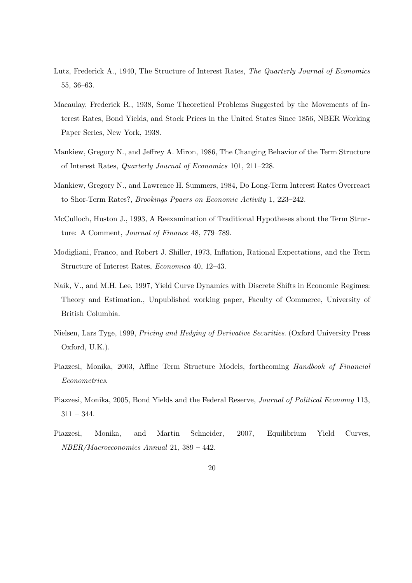- Lutz, Frederick A., 1940, The Structure of Interest Rates, The Quarterly Journal of Economics 55, 36–63.
- Macaulay, Frederick R., 1938, Some Theoretical Problems Suggested by the Movements of Interest Rates, Bond Yields, and Stock Prices in the United States Since 1856, NBER Working Paper Series, New York, 1938.
- Mankiew, Gregory N., and Jeffrey A. Miron, 1986, The Changing Behavior of the Term Structure of Interest Rates, Quarterly Journal of Economics 101, 211–228.
- Mankiew, Gregory N., and Lawrence H. Summers, 1984, Do Long-Term Interest Rates Overreact to Shor-Term Rates?, Brookings Ppaers on Economic Activity 1, 223–242.
- McCulloch, Huston J., 1993, A Reexamination of Traditional Hypotheses about the Term Structure: A Comment, Journal of Finance 48, 779–789.
- Modigliani, Franco, and Robert J. Shiller, 1973, Inflation, Rational Expectations, and the Term Structure of Interest Rates, Economica 40, 12–43.
- Naik, V., and M.H. Lee, 1997, Yield Curve Dynamics with Discrete Shifts in Economic Regimes: Theory and Estimation., Unpublished working paper, Faculty of Commerce, University of British Columbia.
- Nielsen, Lars Tyge, 1999, Pricing and Hedging of Derivative Securities. (Oxford University Press Oxford, U.K.).
- Piazzesi, Monika, 2003, Affine Term Structure Models, forthcoming Handbook of Financial Econometrics.
- Piazzesi, Monika, 2005, Bond Yields and the Federal Reserve, Journal of Political Economy 113,  $311 - 344.$
- Piazzesi, Monika, and Martin Schneider, 2007, Equilibrium Yield Curves, NBER/Macroeconomics Annual 21, 389 – 442.
	- 20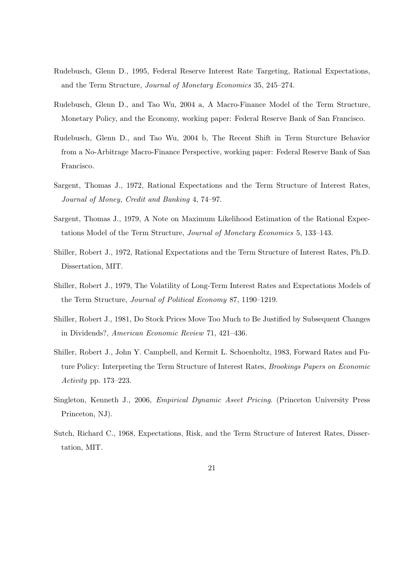- Rudebusch, Glenn D., 1995, Federal Reserve Interest Rate Targeting, Rational Expectations, and the Term Structure, Journal of Monetary Economics 35, 245–274.
- Rudebusch, Glenn D., and Tao Wu, 2004 a, A Macro-Finance Model of the Term Structure, Monetary Policy, and the Economy, working paper: Federal Reserve Bank of San Francisco.
- Rudebusch, Glenn D., and Tao Wu, 2004 b, The Recent Shift in Term Sturcture Behavior from a No-Arbitrage Macro-Finance Perspective, working paper: Federal Reserve Bank of San Francisco.
- Sargent, Thomas J., 1972, Rational Expectations and the Term Structure of Interest Rates, Journal of Money, Credit and Banking 4, 74–97.
- Sargent, Thomas J., 1979, A Note on Maximum Likelihood Estimation of the Rational Expectations Model of the Term Structure, Journal of Monetary Economics 5, 133–143.
- Shiller, Robert J., 1972, Rational Expectations and the Term Structure of Interest Rates, Ph.D. Dissertation, MIT.
- Shiller, Robert J., 1979, The Volatility of Long-Term Interest Rates and Expectations Models of the Term Structure, Journal of Political Economy 87, 1190–1219.
- Shiller, Robert J., 1981, Do Stock Prices Move Too Much to Be Justified by Subsequent Changes in Dividends?, American Economic Review 71, 421–436.
- Shiller, Robert J., John Y. Campbell, and Kermit L. Schoenholtz, 1983, Forward Rates and Future Policy: Interpreting the Term Structure of Interest Rates, Brookings Papers on Economic Activity pp. 173–223.
- Singleton, Kenneth J., 2006, Empirical Dynamic Aseet Pricing. (Princeton University Press Princeton, NJ).
- Sutch, Richard C., 1968, Expectations, Risk, and the Term Structure of Interest Rates, Dissertation, MIT.